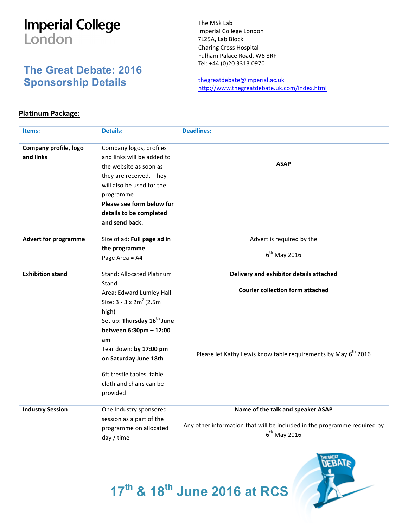## **Imperial College** London

## **The Great Debate: 2016 Sponsorship Details**

The MSk Lab Imperial College London 7L25A, Lab Block Charing Cross Hospital Fulham Palace Road, W6 8RF Tel: +44 (0)20 3313 0970

thegreatdebate@imperial.ac.uk http://www.thegreatdebate.uk.com/index.html

## **Platinum Package:**

| Items:                             | <b>Details:</b>                                                                                                                                                                                                                                                                                              | <b>Deadlines:</b>                                                                                                                                                |
|------------------------------------|--------------------------------------------------------------------------------------------------------------------------------------------------------------------------------------------------------------------------------------------------------------------------------------------------------------|------------------------------------------------------------------------------------------------------------------------------------------------------------------|
| Company profile, logo<br>and links | Company logos, profiles<br>and links will be added to<br>the website as soon as<br>they are received. They<br>will also be used for the<br>programme<br>Please see form below for<br>details to be completed<br>and send back.                                                                               | <b>ASAP</b>                                                                                                                                                      |
| <b>Advert for programme</b>        | Size of ad: Full page ad in<br>the programme<br>Page Area = A4                                                                                                                                                                                                                                               | Advert is required by the<br>$6th$ May 2016                                                                                                                      |
| <b>Exhibition stand</b>            | Stand: Allocated Platinum<br>Stand<br>Area: Edward Lumley Hall<br>Size: $3 - 3 \times 2m^2$ (2.5m)<br>high)<br>Set up: Thursday 16 <sup>th</sup> June<br>between 6:30pm - 12:00<br>am<br>Tear down: by 17:00 pm<br>on Saturday June 18th<br>6ft trestle tables, table<br>cloth and chairs can be<br>provided | Delivery and exhibitor details attached<br><b>Courier collection form attached</b><br>Please let Kathy Lewis know table requirements by May 6 <sup>th</sup> 2016 |
| <b>Industry Session</b>            | One Industry sponsored<br>session as a part of the<br>programme on allocated<br>day / time                                                                                                                                                                                                                   | Name of the talk and speaker ASAP<br>Any other information that will be included in the programme required by<br>$6th$ May 2016                                  |



**17th & 18th June 2016 at RCS**